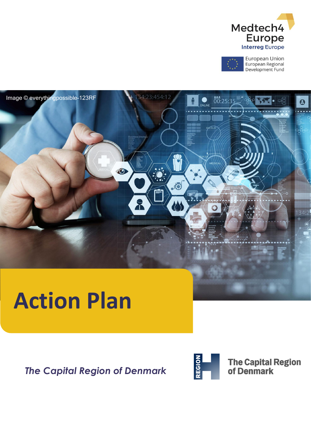

European Union<br>European Regional Development Fund



# **Action Plan Action Plan**

*The Capital Region of Denmark*



**The Capital Region** of Denmark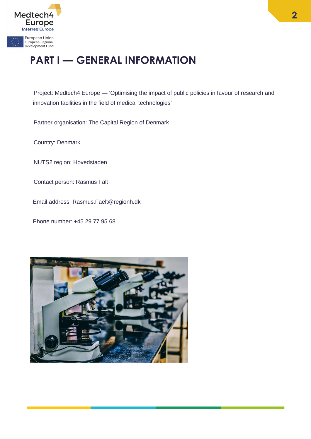

# **PART I — GENERAL INFORMATION**

Project: Medtech4 Europe — 'Optimising the impact of public policies in favour of research and innovation facilities in the field of medical technologies'

Partner organisation: The Capital Region of Denmark

Country: Denmark

NUTS2 region: Hovedstaden

Contact person: Rasmus Fält

Email address: Rasmus.Faelt@regionh.dk

Phone number: +45 29 77 95 68

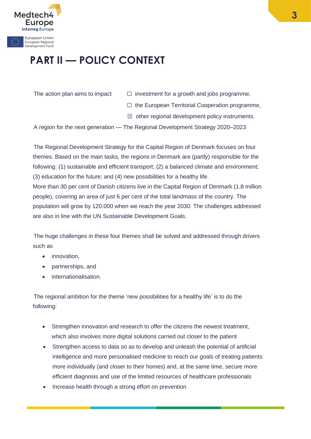

# **PART II — POLICY CONTEXT**

- The action plan aims to impact  $□$  investment for a growth and jobs programme,
	- ☐ the European Territorial Cooperation programme,
	- $\boxtimes$  other regional development policy instruments.

A region for the next generation — The Regional Development Strategy 2020–2023

The Regional Development Strategy for the Capital Region of Denmark focuses on four themes. Based on the main tasks, the regions in Denmark are (partly) responsible for the following: (1) sustainable and efficient transport; (2) a balanced climate and environment; (3) education for the future; and (4) new possibilities for a healthy life. More than 30 per cent of Danish citizens live in the Capital Region of Denmark (1.8 million people), covering an area of just 6 per cent of the total landmass of the country. The population will grow by 120.000 when we reach the year 2030. The challenges addressed are also in line with the UN Sustainable Development Goals.

The huge challenges in these four themes shall be solved and addressed through drivers such as

- innovation,
- partnerships, and
- internationalisation.

The regional ambition for the theme 'new possibilities for a healthy life' is to do the following:

- Strengthen innovation and research to offer the citizens the newest treatment, which also involves more digital solutions carried out closer to the patient
- Strengthen access to data so as to develop and unleash the potential of artificial intelligence and more personalised medicine to reach our goals of treating patients more individually (and closer to their homes) and, at the same time, secure more efficient diagnosis and use of the limited resources of healthcare professionals
- Increase health through a strong effort on prevention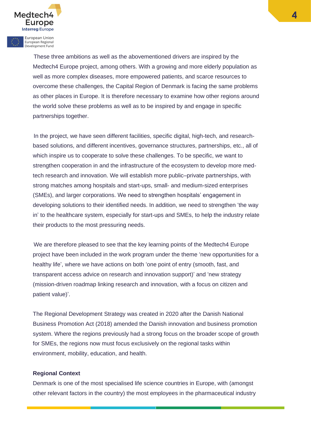These three ambitions as well as the abovementioned drivers are inspired by the Medtech4 Europe project, among others. With a growing and more elderly population as well as more complex diseases, more empowered patients, and scarce resources to overcome these challenges, the Capital Region of Denmark is facing the same problems as other places in Europe. It is therefore necessary to examine how other regions around the world solve these problems as well as to be inspired by and engage in specific partnerships together.

In the project, we have seen different facilities, specific digital, high-tech, and researchbased solutions, and different incentives, governance structures, partnerships, etc., all of which inspire us to cooperate to solve these challenges. To be specific, we want to strengthen cooperation in and the infrastructure of the ecosystem to develop more medtech research and innovation. We will establish more public–private partnerships, with strong matches among hospitals and start-ups, small- and medium-sized enterprises (SMEs), and larger corporations. We need to strengthen hospitals' engagement in developing solutions to their identified needs. In addition, we need to strengthen 'the way in' to the healthcare system, especially for start-ups and SMEs, to help the industry relate their products to the most pressuring needs.

We are therefore pleased to see that the key learning points of the Medtech4 Europe project have been included in the work program under the theme 'new opportunities for a healthy life', where we have actions on both 'one point of entry (smooth, fast, and transparent access advice on research and innovation support)' and 'new strategy (mission-driven roadmap linking research and innovation, with a focus on citizen and patient value)'.

The Regional Development Strategy was created in 2020 after the Danish National Business Promotion Act (2018) amended the Danish innovation and business promotion system. Where the regions previously had a strong focus on the broader scope of growth for SMEs, the regions now must focus exclusively on the regional tasks within environment, mobility, education, and health.

#### **Regional Context**

Medtech<sup>2</sup>

Europe **Interreg Europe** European Union European Regional<br>Development Fund

> Denmark is one of the most specialised life science countries in Europe, with (amongst other relevant factors in the country) the most employees in the pharmaceutical industry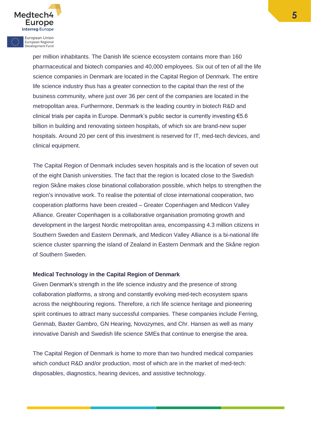per million inhabitants. The Danish life science ecosystem contains more than 160 pharmaceutical and biotech companies and 40,000 employees. Six out of ten of all the life science companies in Denmark are located in the Capital Region of Denmark. The entire life science industry thus has a greater connection to the capital than the rest of the business community, where just over 36 per cent of the companies are located in the metropolitan area. Furthermore, Denmark is the leading country in biotech R&D and clinical trials per capita in Europe. Denmark's public sector is currently investing €5.6 billion in building and renovating sixteen hospitals, of which six are brand-new super hospitals. Around 20 per cent of this investment is reserved for IT, med-tech devices, and clinical equipment.

The Capital Region of Denmark includes seven hospitals and is the location of seven out of the eight Danish universities. The fact that the region is located close to the Swedish region Skåne makes close binational collaboration possible, which helps to strengthen the region's innovative work. To realise the potential of close international cooperation, two cooperation platforms have been created – Greater Copenhagen and Medicon Valley Alliance. Greater Copenhagen is a collaborative organisation promoting growth and development in the largest Nordic metropolitan area, encompassing 4.3 million citizens in Southern Sweden and Eastern Denmark, and Medicon Valley Alliance is a bi-national life science cluster spanning the island of Zealand in Eastern Denmark and the Skåne region of Southern Sweden.

#### **Medical Technology in the Capital Region of Denmark**

Medtech<sup>2</sup>

Europe **Interreg Europe** European Union European Regional Development Fund

> Given Denmark's strength in the life science industry and the presence of strong collaboration platforms, a strong and constantly evolving med-tech ecosystem spans across the neighbouring regions. Therefore, a rich life science heritage and pioneering spirit continues to attract many successful companies. These companies include Ferring, Genmab, Baxter Gambro, GN Hearing, Novozymes, and Chr. Hansen as well as many innovative Danish and Swedish life science SMEs that continue to energise the area.

The Capital Region of Denmark is home to more than two hundred medical companies which conduct R&D and/or production, most of which are in the market of med-tech: disposables, diagnostics, hearing devices, and assistive technology.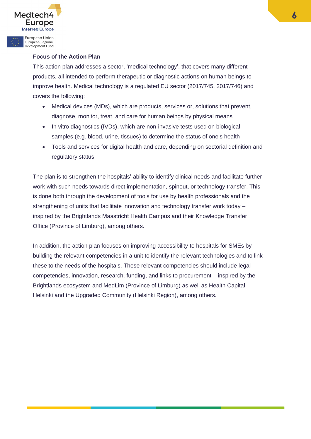

#### **Focus of the Action Plan**

This action plan addresses a sector, 'medical technology', that covers many different products, all intended to perform therapeutic or diagnostic actions on human beings to improve health. Medical technology is a regulated EU sector (2017/745, 2017/746) and covers the following:

- Medical devices (MDs), which are products, services or, solutions that prevent, diagnose, monitor, treat, and care for human beings by physical means
- In vitro diagnostics (IVDs), which are non-invasive tests used on biological samples (e.g. blood, urine, tissues) to determine the status of one's health
- Tools and services for digital health and care, depending on sectorial definition and regulatory status

The plan is to strengthen the hospitals' ability to identify clinical needs and facilitate further work with such needs towards direct implementation, spinout, or technology transfer. This is done both through the development of tools for use by health professionals and the strengthening of units that facilitate innovation and technology transfer work today – inspired by the Brightlands Maastricht Health Campus and their Knowledge Transfer Office (Province of Limburg), among others.

In addition, the action plan focuses on improving accessibility to hospitals for SMEs by building the relevant competencies in a unit to identify the relevant technologies and to link these to the needs of the hospitals. These relevant competencies should include legal competencies, innovation, research, funding, and links to procurement – inspired by the Brightlands ecosystem and MedLim (Province of Limburg) as well as Health Capital Helsinki and the Upgraded Community (Helsinki Region), among others.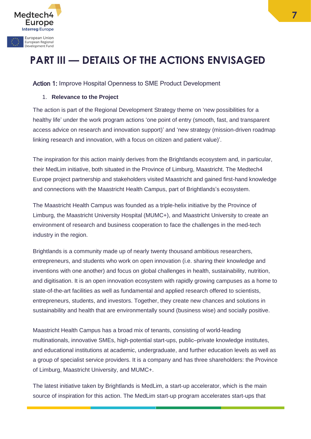

# **PART III — DETAILS OF THE ACTIONS ENVISAGED**

## Action 1: Improve Hospital Openness to SME Product Development

#### 1. **Relevance to the Project**

The action is part of the Regional Development Strategy theme on 'new possibilities for a healthy life' under the work program actions 'one point of entry (smooth, fast, and transparent access advice on research and innovation support)' and 'new strategy (mission-driven roadmap linking research and innovation, with a focus on citizen and patient value)'.

The inspiration for this action mainly derives from the Brightlands ecosystem and, in particular, their MedLim initiative, both situated in the Province of Limburg, Maastricht. The Medtech4 Europe project partnership and stakeholders visited Maastricht and gained first-hand knowledge and connections with the Maastricht Health Campus, part of Brightlands's ecosystem.

The Maastricht Health Campus was founded as a triple-helix initiative by the Province of Limburg, the Maastricht University Hospital (MUMC+), and Maastricht University to create an environment of research and business cooperation to face the challenges in the med-tech industry in the region.

Brightlands is a community made up of nearly twenty thousand ambitious researchers, entrepreneurs, and students who work on open innovation (i.e. sharing their knowledge and inventions with one another) and focus on global challenges in health, sustainability, nutrition, and digitisation. It is an open innovation ecosystem with rapidly growing campuses as a home to state-of-the-art facilities as well as fundamental and applied research offered to scientists, entrepreneurs, students, and investors. Together, they create new chances and solutions in sustainability and health that are environmentally sound (business wise) and socially positive.

Maastricht Health Campus has a broad mix of tenants, consisting of world-leading multinationals, innovative SMEs, high-potential start-ups, public–private knowledge institutes, and educational institutions at academic, undergraduate, and further education levels as well as a group of specialist service providers. It is a company and has three shareholders: the Province of Limburg, Maastricht University, and MUMC+.

The latest initiative taken by Brightlands is MedLim, a start-up accelerator, which is the main source of inspiration for this action. The MedLim start-up program accelerates start-ups that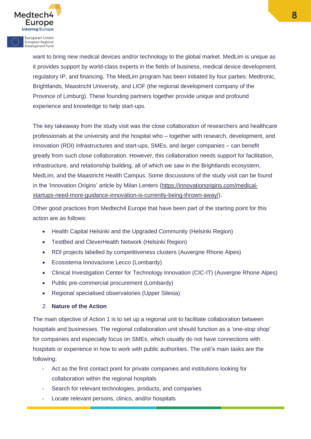want to bring new medical devices and/or technology to the global market. MedLim is unique as it provides support by world-class experts in the fields of business, medical device development, regulatory IP, and financing. The MedLim program has been initiated by four parties: Medtronic, Brightlands, Maastricht University, and LIOF (the regional development company of the Province of Limburg). These founding partners together provide unique and profound experience and knowledge to help start-ups.

The key takeaway from the study visit was the close collaboration of researchers and healthcare professionals at the university and the hospital who – together with research, development, and innovation (RDI) infrastructures and start-ups, SMEs, and larger companies – can benefit greatly from such close collaboration. However, this collaboration needs support for facilitation, infrastructure, and relationship building, all of which we saw in the Brightlands ecosystem, MedLim, and the Maastricht Health Campus. Some discussions of the study visit can be found in the 'Innovation Origins' article by Milan Lenters [\(https://innovationorigins.com/medical](https://innovationorigins.com/medical-startups-need-more-guidance-innovation-is-currently-being-thrown-away/)[startups-need-more-guidance-innovation-is-currently-being-thrown-away/\)](https://innovationorigins.com/medical-startups-need-more-guidance-innovation-is-currently-being-thrown-away/).

Other good practices from Medtech4 Europe that have been part of the starting point for this action are as follows:

- Health Capital Helsinki and the Upgraded Community (Helsinki Region)
- TestBed and CleverHealth Network (Helsinki Region)
- RDI projects labelled by competitiveness clusters (Auvergne Rhone Alpes)
- Ecosistema Innovazione Lecco (Lombardy)
- Clinical Investigation Center for Technology Innovation (CIC-IT) (Auvergne Rhone Alpes)
- Public pre-commercial procurement (Lombardy)
- Regional specialised observatories (Upper Silesia)

#### 2. **Nature of the Action**

Medtech<sup>2</sup>

Europe **Interreg Europe** European Union European Regional Development Fund

> The main objective of Action 1 is to set up a regional unit to facilitate collaboration between hospitals and businesses. The regional collaboration unit should function as a 'one-stop shop' for companies and especially focus on SMEs, which usually do not have connections with hospitals or experience in how to work with public authorities. The unit's main tasks are the following:

- Act as the first contact point for private companies and institutions looking for collaboration within the regional hospitals
- Search for relevant technologies, products, and companies
- Locate relevant persons, clinics, and/or hospitals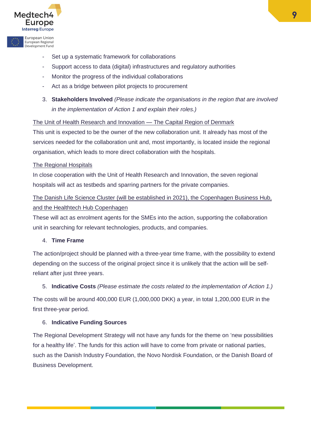

- Set up a systematic framework for collaborations
- Support access to data (digital) infrastructures and regulatory authorities
- Monitor the progress of the individual collaborations
- Act as a bridge between pilot projects to procurement
- 3. **Stakeholders Involved** *(Please indicate the organisations in the region that are involved in the implementation of Action 1 and explain their roles.)*

#### The Unit of Health Research and Innovation — The Capital Region of Denmark

This unit is expected to be the owner of the new collaboration unit. It already has most of the services needed for the collaboration unit and, most importantly, is located inside the regional organisation, which leads to more direct collaboration with the hospitals.

#### The Regional Hospitals

In close cooperation with the Unit of Health Research and Innovation, the seven regional hospitals will act as testbeds and sparring partners for the private companies.

The Danish Life Science Cluster (will be established in 2021), the Copenhagen Business Hub, and the Healthtech Hub Copenhagen

These will act as enrolment agents for the SMEs into the action, supporting the collaboration unit in searching for relevant technologies, products, and companies.

#### 4. **Time Frame**

The action/project should be planned with a three-year time frame, with the possibility to extend depending on the success of the original project since it is unlikely that the action will be selfreliant after just three years.

#### 5. **Indicative Costs** *(Please estimate the costs related to the implementation of Action 1.)*

The costs will be around 400,000 EUR (1,000,000 DKK) a year, in total 1,200,000 EUR in the first three-year period.

#### 6. **Indicative Funding Sources**

The Regional Development Strategy will not have any funds for the theme on 'new possibilities for a healthy life'. The funds for this action will have to come from private or national parties, such as the Danish Industry Foundation, the Novo Nordisk Foundation, or the Danish Board of Business Development.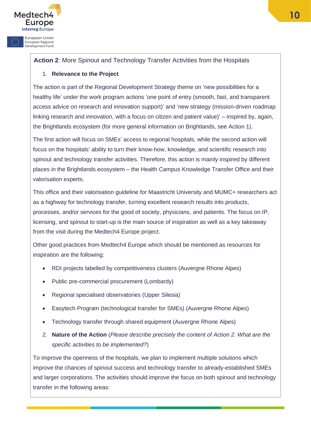

European Regional<br>Development Fund

# **Action 2**: More Spinout and Technology Transfer Activities from the Hospitals

## 1. **Relevance to the Project**

The action is part of the Regional Development Strategy theme on 'new possibilities for a healthy life' under the work program actions 'one point of entry (smooth, fast, and transparent access advice on research and innovation support)' and 'new strategy (mission-driven roadmap linking research and innovation, with a focus on citizen and patient value)' – inspired by, again, the Brightlands ecosystem (for more general information on Brightlands, see Action 1).

The first action will focus on SMEs' access to regional hospitals, while the second action will focus on the hospitals' ability to turn their know-how, knowledge, and scientific research into spinout and technology transfer activities. Therefore, this action is mainly inspired by different places in the Brightlands ecosystem – the Health Campus Knowledge Transfer Office and their valorisation experts.

This office and their valorisation guideline for Maastricht University and MUMC+ researchers act as a highway for technology transfer, turning excellent research results into products, processes, and/or services for the good of society, physicians, and patients. The focus on IP, licensing, and spinout to start-up is the main source of inspiration as well as a key takeaway from the visit during the Medtech4 Europe project.

Other good practices from Medtech4 Europe which should be mentioned as resources for inspiration are the following:

- RDI projects labelled by competitiveness clusters (Auvergne Rhone Alpes)
- Public pre-commercial procurement (Lombardy)
- Regional specialised observatories (Upper Silesia)
- Easytech Program (technological transfer for SMEs) (Auvergne Rhone Alpes)
- Technology transfer through shared equipment (Auvergne Rhone Alpes)
- 2. **Nature of the Action** (*Please describe precisely the content of Action 2. What are the specific activities to be implemented?*)

To improve the openness of the hospitals, we plan to implement multiple solutions which improve the chances of spinout success and technology transfer to already-established SMEs and larger corporations. The activities should improve the focus on both spinout and technology transfer in the following areas: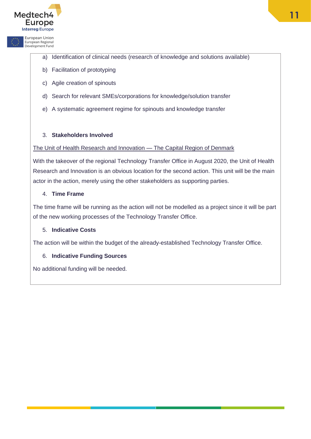

European Regional<br>Development Fund

- a) Identification of clinical needs (research of knowledge and solutions available)
- b) Facilitation of prototyping
- c) Agile creation of spinouts
- d) Search for relevant SMEs/corporations for knowledge/solution transfer
- e) A systematic agreement regime for spinouts and knowledge transfer

#### 3. **Stakeholders Involved**

#### The Unit of Health Research and Innovation - The Capital Region of Denmark

With the takeover of the regional Technology Transfer Office in August 2020, the Unit of Health Research and Innovation is an obvious location for the second action. This unit will be the main actor in the action, merely using the other stakeholders as supporting parties.

## 4. **Time Frame**

The time frame will be running as the action will not be modelled as a project since it will be part of the new working processes of the Technology Transfer Office.

## 5. **Indicative Costs**

The action will be within the budget of the already-established Technology Transfer Office.

#### 6. **Indicative Funding Sources**

No additional funding will be needed.